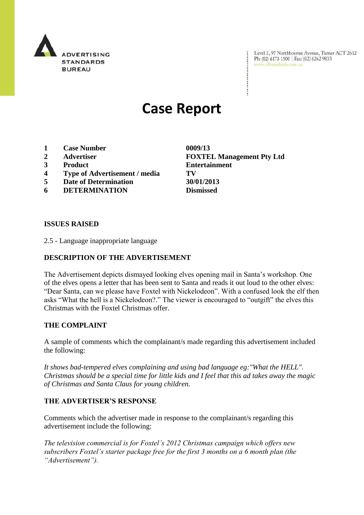

Level 2, 97 Northbourne Avenue, Turner ACT 2612 Ph: (02) 6173 1500 | Fax: (02) 6262 9833 www.adstandards.com.au

# **Case Report**

- **1 Case Number 0009/13**
- 
- 
- **4 Type of Advertisement / media TV**
- **5 Date of Determination 30/01/2013**
- **6 DETERMINATION Dismissed**

**2 Advertiser FOXTEL Management Pty Ltd 3 Product Entertainment**

#### **ISSUES RAISED**

2.5 - Language inappropriate language

### **DESCRIPTION OF THE ADVERTISEMENT**

The Advertisement depicts dismayed looking elves opening mail in Santa's workshop. One of the elves opens a letter that has been sent to Santa and reads it out loud to the other elves: "Dear Santa, can we please have Foxtel with Nickelodeon". With a confused look the elf then asks "What the hell is a Nickelodeon?." The viewer is encouraged to "outgift" the elves this Christmas with the Foxtel Christmas offer.

#### **THE COMPLAINT**

A sample of comments which the complainant/s made regarding this advertisement included the following:

*It shows bad-tempered elves complaining and using bad language eg:"What the HELL". Christmas should be a special time for little kids and I feel that this ad takes away the magic of Christmas and Santa Claus for young children.*

## **THE ADVERTISER'S RESPONSE**

Comments which the advertiser made in response to the complainant/s regarding this advertisement include the following:

*The television commercial is for Foxtel's 2012 Christmas campaign which offers new subscribers Foxtel's starter package free for the first 3 months on a 6 month plan (the "Advertisement").*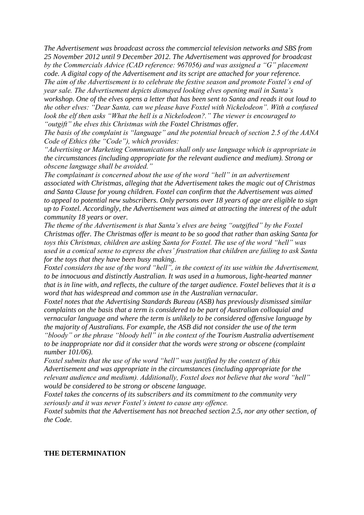*The Advertisement was broadcast across the commercial television networks and SBS from 25 November 2012 until 9 December 2012. The Advertisement was approved for broadcast by the Commercials Advice (CAD reference: 967056) and was assigned a "G" placement code. A digital copy of the Advertisement and its script are attached for your reference. The aim of the Advertisement is to celebrate the festive season and promote Foxtel's end of year sale. The Advertisement depicts dismayed looking elves opening mail in Santa's workshop. One of the elves opens a letter that has been sent to Santa and reads it out loud to* 

*the other elves: "Dear Santa, can we please have Foxtel with Nickelodeon". With a confused look the elf then asks "What the hell is a Nickelodeon?." The viewer is encouraged to "outgift" the elves this Christmas with the Foxtel Christmas offer.*

*The basis of the complaint is "language" and the potential breach of section 2.5 of the AANA Code of Ethics (the "Code"), which provides:*

*"Advertising or Marketing Communications shall only use language which is appropriate in the circumstances (including appropriate for the relevant audience and medium). Strong or obscene language shall be avoided."*

*The complainant is concerned about the use of the word "hell" in an advertisement associated with Christmas, alleging that the Advertisement takes the magic out of Christmas and Santa Clause for young children. Foxtel can confirm that the Advertisement was aimed to appeal to potential new subscribers. Only persons over 18 years of age are eligible to sign up to Foxtel. Accordingly, the Advertisement was aimed at attracting the interest of the adult community 18 years or over.*

*The theme of the Advertisement is that Santa's elves are being "outgifted" by the Foxtel Christmas offer. The Christmas offer is meant to be so good that rather than asking Santa for toys this Christmas, children are asking Santa for Foxtel. The use of the word "hell" was used in a comical sense to express the elves' frustration that children are failing to ask Santa for the toys that they have been busy making.*

*Foxtel considers the use of the word "hell", in the context of its use within the Advertisement, to be innocuous and distinctly Australian. It was used in a humorous, light-hearted manner that is in line with, and reflects, the culture of the target audience. Foxtel believes that it is a word that has widespread and common use in the Australian vernacular.*

*Foxtel notes that the Advertising Standards Bureau (ASB) has previously dismissed similar complaints on the basis that a term is considered to be part of Australian colloquial and vernacular language and where the term is unlikely to be considered offensive language by the majority of Australians. For example, the ASB did not consider the use of the term* 

*"bloody" or the phrase "bloody hell" in the context of the Tourism Australia advertisement to be inappropriate nor did it consider that the words were strong or obscene (complaint number 101/06).*

*Foxtel submits that the use of the word "hell" was justified by the context of this Advertisement and was appropriate in the circumstances (including appropriate for the relevant audience and medium). Additionally, Foxtel does not believe that the word "hell" would be considered to be strong or obscene language.*

*Foxtel takes the concerns of its subscribers and its commitment to the community very seriously and it was never Foxtel's intent to cause any offence.*

*Foxtel submits that the Advertisement has not breached section 2.5, nor any other section, of the Code.*

#### **THE DETERMINATION**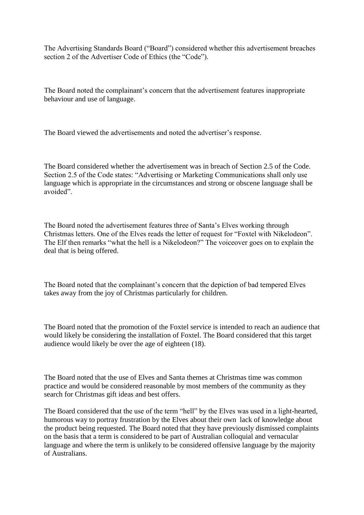The Advertising Standards Board ("Board") considered whether this advertisement breaches section 2 of the Advertiser Code of Ethics (the "Code").

The Board noted the complainant's concern that the advertisement features inappropriate behaviour and use of language.

The Board viewed the advertisements and noted the advertiser's response.

The Board considered whether the advertisement was in breach of Section 2.5 of the Code. Section 2.5 of the Code states: "Advertising or Marketing Communications shall only use language which is appropriate in the circumstances and strong or obscene language shall be avoided".

The Board noted the advertisement features three of Santa's Elves working through Christmas letters. One of the Elves reads the letter of request for "Foxtel with Nikelodeon". The Elf then remarks "what the hell is a Nikelodeon?" The voiceover goes on to explain the deal that is being offered.

The Board noted that the complainant's concern that the depiction of bad tempered Elves takes away from the joy of Christmas particularly for children.

The Board noted that the promotion of the Foxtel service is intended to reach an audience that would likely be considering the installation of Foxtel. The Board considered that this target audience would likely be over the age of eighteen (18).

The Board noted that the use of Elves and Santa themes at Christmas time was common practice and would be considered reasonable by most members of the community as they search for Christmas gift ideas and best offers.

The Board considered that the use of the term "hell" by the Elves was used in a light-hearted, humorous way to portray frustration by the Elves about their own lack of knowledge about the product being requested. The Board noted that they have previously dismissed complaints on the basis that a term is considered to be part of Australian colloquial and vernacular language and where the term is unlikely to be considered offensive language by the majority of Australians.